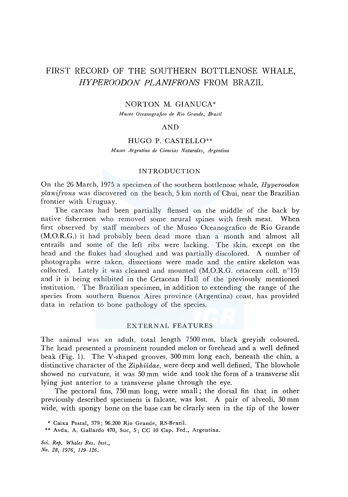# FIRST RECORD OF THE SOUTHERN BOTTLENOSE WHALE. *HYPEROODON PLANIFRONS* FROM BRAZIL

# NORTON M. GIANUCA\*

*A1useo Oceanografico de Rio Grande, Brasil* 

# AND

# HUGO P. CASTELLO\*\*

*Museo Argentina de Ciencias Naturales, Argentina* 

# INTRODUCTION

On the 26 March, 1975 a specimen of the southern bottlenose whale, *Hyperoodon planifrons* was discovered on the beach, 5 km north of Chui, near the Brazilian frontier with Uruguay.

The carcass had been partially flensed on the middle of the back by native fishermen who removed some neural spines with fresh meat. When first observed by staff members of the Museo Oceanografico de Rio Grande (M.O.R.G.) it had probably been dead more than a month and almost all entrails and some of the left ribs were lacking. The skin, except on the head and the flukes had sloughed and was partially discolored. A number of photographs were taken, dissections were made and the entire skeleton was collected. Lately it was cleaned and mounted (M.O.R.G. cetacean coll. n°15) and it is being exhibited in the Cetacean Hall of the previously mentioned institution. The Brazilian specimen, in addition to extending the range of the species from southern Buenos Aires province (Argentina) coast, has provided data in relation to bone pathology of the species.

# EXTERNAL FEATURES

The animal was an adult, total length 7500 mm, black greyish coloured. The head presented a prominent rounded melon or forehead and a well defined beak (Fig. I). The V-shaped grooves, 300 mm long each, beneath the chin, a distinctive character of the *Ziphiidae*, were deep and well defined, The blowhole showed no curvature, it was 50 mm wide and took the form of a transverse slit lying just anterior to a transverse plane through the eye.

The pectoral fins, 750 mm long, were small; the dorsal fin that in other previously described specimens is falcate, was lost. A pair of alveoli, 30 mm wide, with spongy bone on the base can be clearly seen in the tip of the lower

\* Caixa Postal, 379; 96.200 Rio Grande, RS-Brazil.

\*\* Avda. A. Gallardo 470, Sue, 5; CC 10 Cap. Fed., Argentina.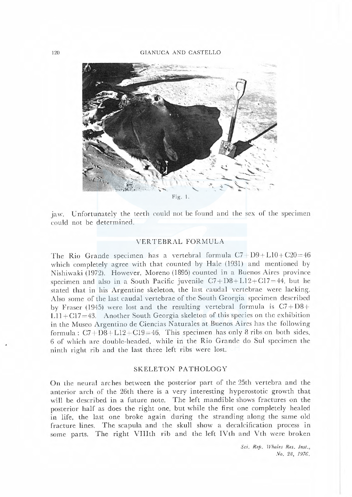

jaw. Unfortunately the teeth could not be found and the sex of the specimen could not be determined.

#### VERTEBRAL FORMULA

The Rio Grande specimen has a vertebral formula  $C7 + D9 + L10 + C20 = 46$ which completely agree with that counted by Hale (1931) and mentioned by Nishiwaki (1972). However, Moreno (1895) counted in a Buenos Aires province specimen and also in a South Pacific juvenile  $C<sub>7</sub>+D<sub>8</sub>+L<sub>12</sub>+C<sub>17</sub>=44$ , but he stated that in his Argentine skeleton, the last caudal vertebrae were lacking. Also some of the last caudal vertebrae of the South Georgia specimen described by Fraser (1945) were lost and the resulting vertebral formula is  $C7 + D8 +$  $L11 + C17 = 43$ . Another South Georgia skeleton of this species on the exhibition in the Museo Argentino de Ciencias Naturales at Buenos Aires has the following formula:  $C7 + D8 + L12 + C19 = 46$ , This specimen has only 8 ribs on both sides, 6 of which are double-headed, while in the Rio Grande do Sul specimen the ninth right rib and the last three left ribs were lost.

#### **SKELETON PATHOLOGY**

On the neural arches between the posterior part of the 25th vertebra and the anterior arch of the 26th there is a very interesting hyperostotic growth that will be described in a future note. The left mandible shows fractures on the posterior half as does the right one, but while the first one completely healed in life, the last one broke again during the stranding along the same old fracture lines. The scapula and the skull show a decalcification process in some parts. The right VIIIth rib and the left IVth and Vth were broken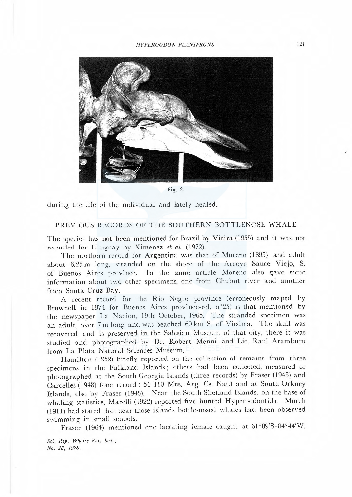

Fig. 2.

during the life of the individual and lately healed.

#### PREVIOUS RECORDS OF THE SOUTHERN BOTTLENOSE WHALE

The species has not been mentioned for Brazil by Vieira (1955) and it was not recorded for Uruguay by Ximenez et al. (1972).

The northern record for Argentina was that of Moreno (1895). and adult about 6.25 m long, stranded on the shore of the Arroyo Sauce Viejo, S. of Buenos Aires province. In the same article Moreno also gave some information about two other specimens. one from Chubut river and another from Santa Cruz Bay.

A recent record for the Rio Negro province (erroneously maped by Brownell in 1974 for Buenos Aires province-ref. n°25) is that mentioned by the newspaper La Nacion, 19th October, 1965. The stranded specimen was an adult, over 7 m long and was beached 60 km S. of Viedma. The skull was recovered and is preserved in the Salesian Museum of that city, there it was studied and photographed by Dr. Robert Menni and Lic. Raul Aramburu from La Plata Natural Sciences Museum.

Hamilton (1952) briefly reported on the colection of remains from three specimens in the Falkland Islands; others had been colected, measured or photographed at the South Georgia Islands (three records) by Fraser (1945) and Carcclles (1948) (one record: 54-110 Mus. Arg. Cs. Nat.) and at South Orkney Islands, also by Fraser (1945). Near the South Shetland Islands, on the base of whaling statistics, Marelli (1922) reported five hunted Hyperoodontids. Mörch (1911) had stated that near those islands bottle-nosed whales had been observed swimming in small schools.

Fraser (1964) mentioned one lactating female caught at 61°09'S-84°44'W.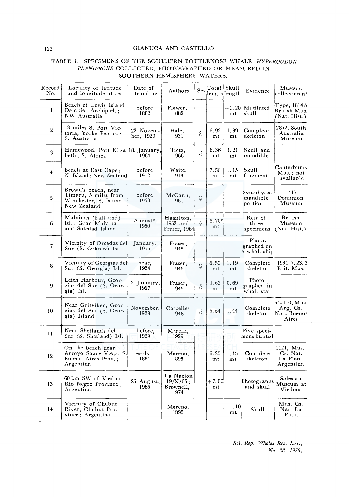## 122 GIANUCA AND CASTELLO

# TABLE 1. SPECIMENS OF THE SOUTHERN BOTTLENOSE WHALE, *HYPEROODON PLANIFRONS* COLLECTED, PHOTOGRAPHED OR MEASURED IN SOUTHERN HEMISPHERE WATERS.

| Record<br>No.  | Locality or latitude<br>and longitude at sea                                         | Date of<br>stranding   | Authors                                       | Sex      | Total   Skull          | lengthlength           | Evidence                             | Museum<br>collection n°                           |
|----------------|--------------------------------------------------------------------------------------|------------------------|-----------------------------------------------|----------|------------------------|------------------------|--------------------------------------|---------------------------------------------------|
| 1              | Beach of Lewis Island<br>Dampier Archipiel.:<br>NW Australia                         | before<br>1882         | Flower,<br>1882                               |          |                        | $+1.20$<br>mt          | Mutilated<br>skull                   | Type, 1814A<br>British Mus.<br>(Nat. Hist.)       |
| $\overline{2}$ | 13 miles S. Port Vic-<br>toria, Yorke Penins.;<br>S. Australia                       | 22 Novem-<br>ber, 1929 | Hale,<br>1931                                 | $\delta$ | 6.93<br>mt             | 1.39<br>m <sub>t</sub> | Complete<br>skeleton                 | 2852, South<br>Australia<br>Museum                |
| 3              | Humewood, Port Eliza-18, January,<br>beth; S. Africa                                 | 1964                   | Tietz,<br>1966                                | \$       | 6.36<br>m <sub>t</sub> | 1.21<br>m <sub>t</sub> | Skull and<br>mandible                |                                                   |
| 4              | Beach at East Cape;<br>N. Island; New Zealand                                        | before<br>1912         | Waite,<br>1913                                |          | 7.50<br>m <sub>t</sub> | 1.15<br>m <sub>t</sub> | Skull<br>fragment                    | Canterburry<br>Mus.; not<br>available             |
| $\mathfrak{h}$ | Brown's beach, near<br>Timaru, 5 miles from<br>Winchester, S. Island;<br>New Zealand | before<br>1959         | McCann,<br>1961                               | Q        |                        |                        | Symphyseal<br>mandible<br>portion    | 1417<br>Dominion<br>Museum                        |
| 6              | Malvinas (Falkland)<br>Isl.: Gran Malvina<br>and Soledad Island                      | August*<br>1950        | Hamilton,<br>1952 and<br>Fraser, 1964         | Q        | $6.70*$<br>mt          |                        | Rest of<br>three<br>specimens        | <b>British</b><br>Museum<br>(Nat. Hist.)          |
| 7              | Vicinity of Orcadas del<br>Sur (S. Orkney) Isl.                                      | January,<br>1915       | Fraser,<br>1945                               |          |                        |                        | Photo-<br>graphed on<br>a whal. ship |                                                   |
| 8              | Vicinity of Georgias del<br>Sur (S. Georgia) Isl.                                    | near,<br>1934          | Fraser,<br>1945                               | Q        | 6.50<br>m <sub>t</sub> | 1.19<br>m <sub>t</sub> | Complete<br>skeleton                 | 1934.7.23.3<br>Brit. Mus.                         |
| 9              | Leith Harbour, Geor-<br>gias del Sur (S. Geor-<br>gia) Isl.                          | 3 January,<br>1927     | Fraser,<br>1945                               | $\delta$ | 4.63<br>m <sub>t</sub> | 0.69<br>m <sub>t</sub> | Photo-<br>graphed in<br>whal, stat,  |                                                   |
| 10             | Near Gritviken, Geor-<br>gias del Sur (S. Geor-<br>gia) Island                       | November,<br>1929      | Carcelles<br>1948                             | λ        | 6.54                   | 1.44                   | Complete<br>skeleton                 | 54-110, Mus.<br>Arg. Cs.<br>Nat.; Buenos<br>Aires |
| 11             | Near Shetlands del<br>Sur (S. Shetland) Isl.                                         | before,<br>1929        | Marelli,<br>1929                              |          |                        |                        | Five speci-<br>mens hunted           |                                                   |
| 12             | On the beach near<br>Arroyo Sauce Viejo, S.<br>Buenos Aires Prov.:<br>Argentina      | early,<br>1884         | Moreno,<br>1895                               |          | 6.25<br>m <sub>t</sub> | 1.15<br>m <sub>t</sub> | Complete<br>skeleton                 | 1121, Mus.<br>Cs. Nat.<br>La Plata<br>Argentina   |
| 13             | 60 km SW of Viedma,<br>Rio Negro Province;<br>Argentina                              | 25 August,<br>1965     | La Nacion<br>$19/X/65$ ;<br>Brownell,<br>1974 |          | $+7.00$<br>mt          |                        | Photographs<br>and skull             | Salesian<br>Museum at<br>Viedma                   |
| 14             | Vicinity of Chubut<br>River, Chubut Pro-<br>vince; Argentina                         |                        | Moreno,<br>1895                               |          |                        | $+1.10$<br>mt          | Skull                                | Mus. Cs.<br>Nat. La<br>Plata                      |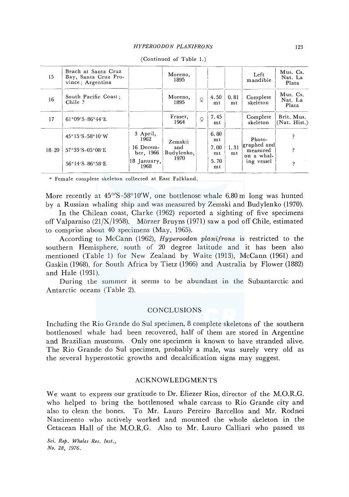#### *HYPERUODON PLANIFRONS* 123

| 15        | Beach at Santa Cruz<br>Bay, Santa Cruz Pro-<br>vince; Argentina |                        | Moreno,<br>1895              |         |            |            | Left<br>mandible                                              | Mus. Cs.<br>Nat. La<br>Plata |
|-----------|-----------------------------------------------------------------|------------------------|------------------------------|---------|------------|------------|---------------------------------------------------------------|------------------------------|
| 16        | South Pacific Coast;<br>Chile?                                  |                        | Moreno,<br>1895              | $\circ$ | 4.50<br>mt | 0.81<br>mt | Complete<br>skeleton                                          | Mus. Cs.<br>Nat. La<br>Plata |
| 17        | $61^{\circ}09^{\prime}S - 86^{\circ}44^{\prime}E$               |                        | Fraser.<br>1964              | $\circ$ | 7.45<br>mt |            | Complete<br>skeleton                                          | Brit. Mus.<br>(Nat. Hist.)   |
| $18 - 20$ | $45^{\circ}15^{\prime}S - 58^{\circ}10^{\prime}W$               | 3 April,<br>1962       | Zemskii<br>and<br>Budylenko, |         | 6.80<br>mt | 1.31<br>mt | Photo-<br>graphed and<br>measured<br>on a whal-<br>ing vessel | P                            |
|           | 57°33′S-05°08′E                                                 | 16 Decem-<br>ber, 1966 |                              |         | 7.00<br>mt |            |                                                               | P                            |
|           | $56^{\circ}14'S - 86^{\circ}58'E$                               | 18 January,<br>1968    | 1970                         |         | 5.70<br>mt |            |                                                               | p                            |

(Continued of Table 1.)

\* Female complete skeleton collected at East Falkland.

More recently at  $45^{\circ}/58^{\circ}10'W$ , one bottlenose whale 6.80 m long was hunted by a Russian whaling ship and was measured by Zemski and Budylenko (1970).

In the Chilean coast, Clarke (1962) reported a sighting of five specimens off Valparaiso (21/X/1958). Mörzer Bruyns (1971) saw a pod off Chile, estimated to comprise about 40 specimens (May, 1965).

According to McCann (1962), *Hyperoodon planifrons* is restricted to the southern Hemisphere, south of 20 degree latitude and it has been also mentioned (Table 1) for New Zealand by Waite (1913), McCann (1961) and Gaskin (1968), for South Africa by Tietz (1966) and Australia by Flower (1882) and Hale (1931).

During the summer it seems to be abundant in the Subantarctic and Antarctic oceans (Table 2).

#### **CONCLUSIONS**

Including the Rio Grande do Sul specimen, 8 complete skeletons of the southern bottlenosed whale had been recovered, half of them are stored in Argentine and Brazilian museums. Only one specimen is known to have stranded alive. The Rio Grande do Sul specimen, probably a male, was surely very old as the several hyperostotic growths and decalcification signs may suggest.

# ACKNOWLEDGMENTS

We want to express our gratitude to Dr. Eliezer Rios, director of the M.0.R.G. who helped to bring the bottlenosed whale carcass to Rio Grande city and also to clean the bones. To Mr. Lauro Pereiro Barcellos and Mr. Rodnei Nascimento who actively worked and mounted the whole skeleton in the Cetacean Hall of the M.O.R.G. Also to Mr. Lauro Calliari who passed us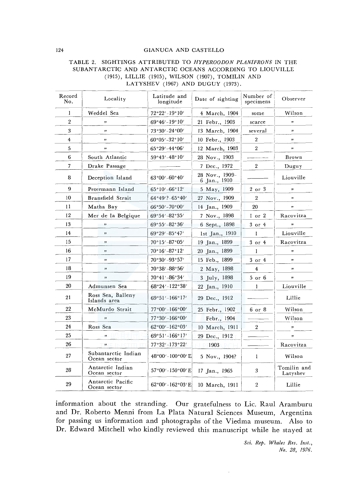#### GIANUCA AND CASTELLO

#### TABLE 2. SIGHTINGS ATTRIBUTED TO HYPEROODON PLANIFRONS IN THE SUBANTARCTIC AND ANTARCTIC OCEANS ACCORDING TO LIOUVILLE (1915), LILLIE (1915), WILSON (1907), TOMILIN AND LATYSHEV (1967) AND DUGUY (1973).

| Record<br>No.  | Locality                            | Latitude and<br>longitude                       | Date of sighting               | Number of<br>specimens | Observer                   |
|----------------|-------------------------------------|-------------------------------------------------|--------------------------------|------------------------|----------------------------|
| 1              | Weddel Sea                          | $72°22' - 19°10'$                               | 4 March, 1904                  | some                   | Wilson                     |
| $\overline{2}$ | ,,                                  | $69°46' - 19°10'$                               | 21 Febr., 1903                 | scarce                 | ,,                         |
| 3              | ,,                                  | $73°30' - 24°00'$                               | 13 March, 1904                 | several                | ,,                         |
| 4              | ,,                                  | $60^{\circ}05' - 32^{\circ}10'$                 | 10 Febr., 1903                 | $\boldsymbol{2}$       | $\pmb{\mathcal{W}}$        |
| 5              | $\pmb{\mathcal{W}}$                 | $65°29' - 44°06'$                               | 12 March, 1903                 | $\overline{2}$         | $\boldsymbol{\mathcal{W}}$ |
| 6              | South Atlantic                      | $59°43' - 48°10'$                               | 28 Nov., 1903                  |                        | Brown                      |
| 7              | Drake Passage                       |                                                 | 7 Dec., 1972                   | $\overline{2}$         | Duguy                      |
| 8              | Deception Island                    | $63°00' - 60°40'$                               | 28 Nov., 1909-<br>6 Jan., 1910 |                        | Liouville                  |
| 9              | Petermann Island                    | $65°10' - 66°12'$                               | 5 May, 1909                    | 2 or 3                 | ,                          |
| 10             | Bransfield Strait                   | $64°49'$ ?-65°40'                               | 27 Nov., 1909                  | 2                      | , 1                        |
| 11             | Matha Bay                           | $66°50' - 70°00'$                               | 14 Jan., 1909                  | 20                     | ,,                         |
| 12             | Mer de la Belgique                  | $69°54' - 82°35'$                               | 7 Nov., 1898                   | $1$ or $2$             | Racovitza                  |
| 13             | ,,                                  | $69°55' - 82°36'$                               | 6 Sept., 1898                  | $3$ or $4$             | ,,                         |
| 14             | ,,                                  | $69°29' - 85°47'$                               | 1st Jan., 1910                 | 1                      | Liouville                  |
| 15             | ,,                                  | $70^{\circ}15' - 87^{\circ}05'$                 | 19 Jan., 1899                  | $3$ or $4$             | Racovitza                  |
| 16             | ,,                                  | $70^{\circ}16^{\prime} - 87^{\circ}12^{\prime}$ | 20 Jan., 1899                  | $\mathbf{1}$           | ,                          |
| 17             | ,,                                  | $70°30' - 93°57'$                               | 15 Feb., 1899                  | $3$ or $4$             | , 1                        |
| 18             | ,,                                  | $70°38' - 88°56'$                               | 2 May, 1898                    | $\overline{4}$         | $\boldsymbol{\eta}$        |
| 19             | ,                                   | $70°41' - 86°34'$                               | 3 July, 1898                   | $5$ or $6$             | ,                          |
| 20             | Admunsen Sea                        | $68°24' - 122°38'$                              | 22 Jan., 1910                  | $\mathbf{1}$           | Liouville                  |
| 21             | Ross Sea, Balleny<br>Islands area   | $69°51' - 166°17'$                              | 29 Dec., 1912                  |                        | Lillie                     |
| 22             | McMurdo Strait                      | $77°00' - 166°00'$                              | 25 Febr., 1902                 | $6$ or $8$             | Wilson                     |
| 23             | $\overline{\mathbf{z}}$             | 77°30′-166°00′                                  | Febr., 1904                    |                        | Wilson                     |
| 24             | Ross Sea                            | $62^{\circ}00' - 162^{\circ}03'$                | 10 March, 1911                 | 2                      | ,,                         |
| 25             | ,,                                  | $69°51' - 166°17'$                              | 29 Dec., 1912                  |                        | ,                          |
| 26             | , 2                                 | $77°32' - 173°22'$                              | 1903                           |                        | Racovitza                  |
| 27             | Subantarctic Indian<br>Ocean sector | $48°00' - 100°00'$ E                            | 5 Nov., 1904?                  | $\mathbf{I}$           | Wilson                     |
| 28             | Antarctic Indian<br>Ocean sector    | 57°00′-150°00′E                                 | 17 Jan., 1965                  | 3                      | Tomilin and<br>Latyshev    |
| 29             | Antarctic Pacific<br>Ocean sector   | $62°00' - 162°03'E$                             | 10 March, 1911                 | $\overline{2}$         | Lillie                     |

information about the stranding. Our gratefulness to Lic. Raul Aramburu and Dr. Roberto Menni from La Plata Natural Sciences Museum, Argentina for passing us information and photographs of the Viedma museum. Also to Dr. Edward Mitchell who kindly reviewed this manuscript while he stayed at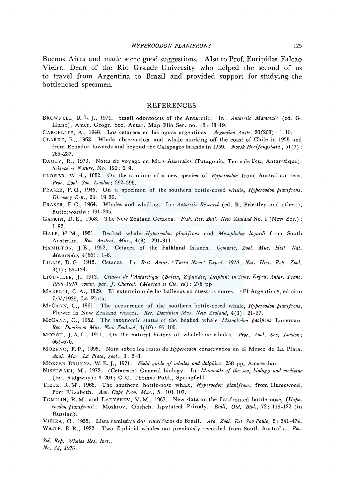Buenos Aires and made some good suggestions. Also to Prof. Euripides Falcao Vieira, Dean of the Rio Grande University who helped the second of us to travel from Argentina to Brazil and provided support for studying the bottlenosed specimen.

#### REFERENCES

BROWi\ELL, R. L. ]., 1974. Small odontocets of the Antarctic. In: *Antarctic Mammals* (ed. G. Llano), Amer. Geogr. Soc. Antar. Map Flio Ser. no. 18: 13-19.

CARCELLES, A., 1948. Los cetaceos en las aguas argentinas. *Argentina Austr.* 20(208): 1-10.

- CLARKE, R., 1962. Whale observation and whale marking off the coast of Chile in 1958 and from Ecuador towards and beyond the Calapagos Islands in 1959. Norsk Hvalfangst-tid., 51(7): 265-287.
- DAGUY, R., 1973. Notes de voyage en Mers Australes (Patagonie, Terre de Feu, Antarctique). *Science et Nature,* No. 120: 2-9.

FLOWER, W. H., 1882. On the cranium of a new species of *Hyperoodon* from Australian seas. *Proc. Zoo!. Soc. London:* 392-396.

- FRASER, F. C., 1945. On a specimen of the southern bottle-nosed whale, *Hyperoodon planifrons. Dicovery Rep.,* 23: 19-36.
- FRASER, F. C., 1964. Whales and whaling. In: *Antarctic Research* (ed. R. Priestley and others), Butterworths: 191-205.
- GASKIN, D. E., 1968. The New Zealand Cetacea. *Fish. Res. Bull. New Zealand* No. I (New Ser.): 1-92.
- HALE, H. M., 1931. Beaked *whales-Hyperoodon planifrons* and *Mesoplodon layardi* from South Australia. *Ree. Austral. Mus.,* 4(3): 291-311.
- HAMILTON, J.E., 1952. Cetacea of the Falkland Islands. *Comunic. Zool. Mus. Hist. Nat. Montevideo,* 4(66) : 1-6.
- LILLIE, D. G., 1915. Cetacea. In: *Brit. Antar. "Terra Nova" Exped. 1910. Nat. Hist. Rep. Zool.*   $3(1): 85-124.$

LIOUVILLE, J., 1913. *Cetaces de l'Antarctique (Balein, Ziphiides, Delphin) in 2eme. Exped. Antar. Franc. 1908-1910, comm. par. ]. Charcot. (Masson et Cie. ed)* : 276 pp.

- MARELLI, C. A., 1929. El exterminio de las ballenas en nuestros mares. "El Argentino", edicion 7 /V /1929, La Plata.
- McCAN"', C., 1961. The occurrence of the southern bottle-nosed whale, *Hyperoodon planifrons,*  Flower in New Zealand waters. *Ree. Dominion Mus. New Zealand,* 4(3): 21-27.
- McCANN, C., 1962. The taxonomic status of the beaked whale *Mesoplodon pacificus* Longman. *Ree. Dominion Mus. New Zealand,* 4(10) : 95-100.
- MORCH, J. A. C., 1911. On the natural history of whalebone whales. *Proc. Zoo!. Soc. London:*  661-670.
- MORENO, F. P., 1895. Nota sobre los restos de *Hyperoodon* conservados en el Museo de La Plata. *Anal. Mus. La Plata, zool., 3: 3-8.*
- *MbRZER* BRUYNS, W. *E.].,* 1971. *Field guide of whales and dolphins.* 258 pp, Amsterdam.

NISHIWAKI, M., 1972. (Cetacean) General biology. In: *Mammals of the sea, biology and medicine*  (Ed. Ridgway) : 3-204; C. C. Thomas Pub!., Springfield.

TIETZ, R. M., 1966. The southern bottle-nose whale, *Hyperoodon planifrons,* from Humewood, Port Elizabeth. *Ann. Cape Prov. Mus.,* 5: 101-107.

TOMILIN, R. M. and LATYSHEV, V. M., 1967. New data on the flat-fronted bottle nose, *(Hyperoodon planifrons).* Moskrov. Obshch. Ispytateel Prirody. *Biull. Otd. Biol.,* 72: 119-122 (in Russian).

VIEIRA, C., 1955. Lista remissiva dos mamiferos do Brasil. *Arq. Zoo!. Est. Sao Paulo,* 8: 341-474. WAITE, E. R., 1922. Two Ziphioid whales not previously recorded from South Australia. *Ree.*